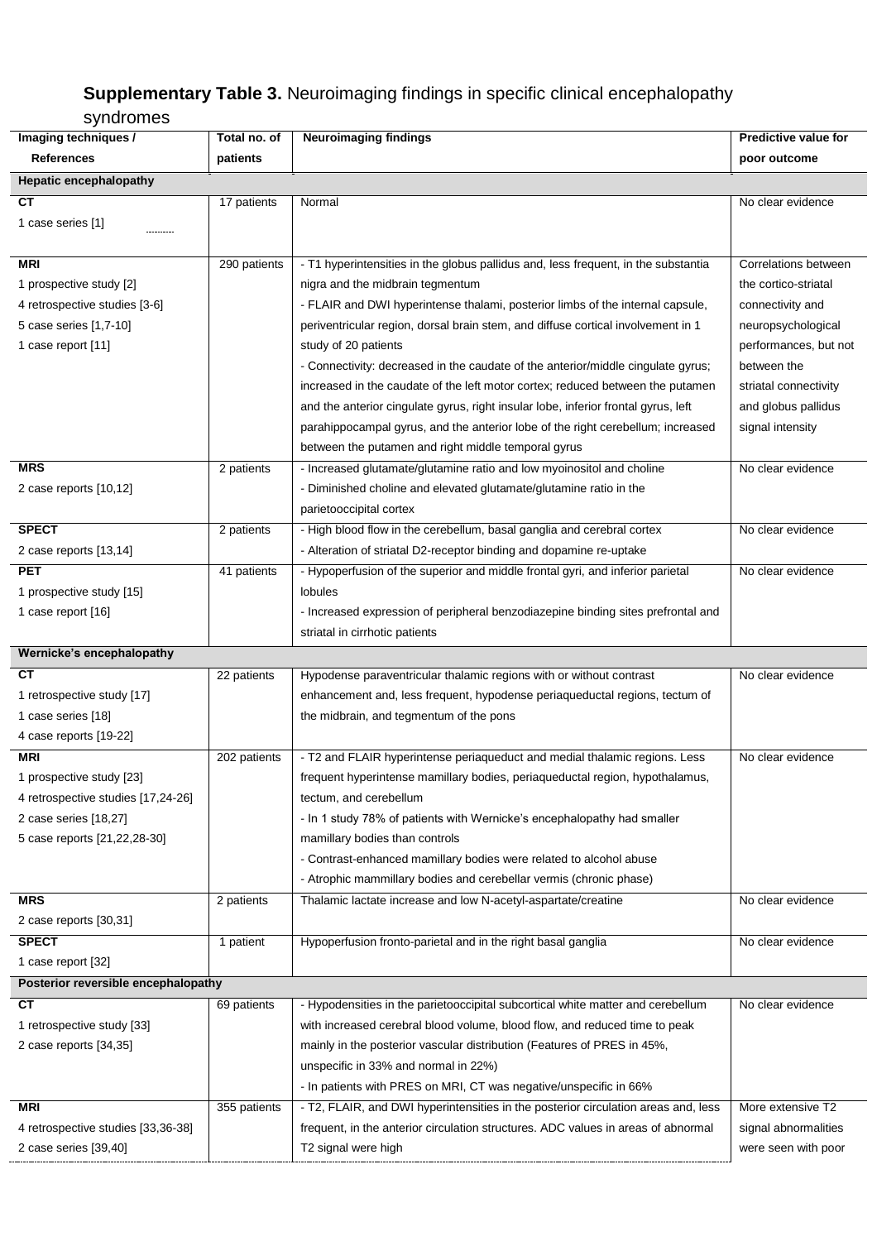## **Supplementary Table 3.** Neuroimaging findings in specific clinical encephalopathy

## syndromes

| Imaging techniques /                | Total no. of | <b>Neuroimaging findings</b>                                                       | <b>Predictive value for</b> |  |  |  |
|-------------------------------------|--------------|------------------------------------------------------------------------------------|-----------------------------|--|--|--|
| <b>References</b>                   | patients     |                                                                                    | poor outcome                |  |  |  |
| <b>Hepatic encephalopathy</b>       |              |                                                                                    |                             |  |  |  |
| СT                                  | 17 patients  | Normal                                                                             | No clear evidence           |  |  |  |
| 1 case series [1]                   |              |                                                                                    |                             |  |  |  |
|                                     |              |                                                                                    |                             |  |  |  |
| <b>MRI</b>                          | 290 patients | - T1 hyperintensities in the globus pallidus and, less frequent, in the substantia | Correlations between        |  |  |  |
| 1 prospective study [2]             |              | nigra and the midbrain tegmentum                                                   | the cortico-striatal        |  |  |  |
| 4 retrospective studies [3-6]       |              | - FLAIR and DWI hyperintense thalami, posterior limbs of the internal capsule,     | connectivity and            |  |  |  |
| 5 case series [1,7-10]              |              | periventricular region, dorsal brain stem, and diffuse cortical involvement in 1   | neuropsychological          |  |  |  |
| 1 case report [11]                  |              | study of 20 patients                                                               | performances, but not       |  |  |  |
|                                     |              | - Connectivity: decreased in the caudate of the anterior/middle cingulate gyrus;   | between the                 |  |  |  |
|                                     |              | increased in the caudate of the left motor cortex; reduced between the putamen     | striatal connectivity       |  |  |  |
|                                     |              | and the anterior cingulate gyrus, right insular lobe, inferior frontal gyrus, left | and globus pallidus         |  |  |  |
|                                     |              | parahippocampal gyrus, and the anterior lobe of the right cerebellum; increased    | signal intensity            |  |  |  |
|                                     |              | between the putamen and right middle temporal gyrus                                |                             |  |  |  |
| <b>MRS</b>                          | 2 patients   | - Increased glutamate/glutamine ratio and low myoinositol and choline              | No clear evidence           |  |  |  |
| 2 case reports [10,12]              |              | - Diminished choline and elevated glutamate/glutamine ratio in the                 |                             |  |  |  |
|                                     |              | parietooccipital cortex                                                            |                             |  |  |  |
| <b>SPECT</b>                        | 2 patients   | - High blood flow in the cerebellum, basal ganglia and cerebral cortex             | No clear evidence           |  |  |  |
| 2 case reports [13,14]              |              | - Alteration of striatal D2-receptor binding and dopamine re-uptake                |                             |  |  |  |
| <b>PET</b>                          | 41 patients  | - Hypoperfusion of the superior and middle frontal gyri, and inferior parietal     | No clear evidence           |  |  |  |
| 1 prospective study [15]            |              | lobules                                                                            |                             |  |  |  |
| 1 case report [16]                  |              | - Increased expression of peripheral benzodiazepine binding sites prefrontal and   |                             |  |  |  |
|                                     |              | striatal in cirrhotic patients                                                     |                             |  |  |  |
| Wernicke's encephalopathy           |              |                                                                                    |                             |  |  |  |
| CТ                                  | 22 patients  | Hypodense paraventricular thalamic regions with or without contrast                | No clear evidence           |  |  |  |
| 1 retrospective study [17]          |              | enhancement and, less frequent, hypodense periaqueductal regions, tectum of        |                             |  |  |  |
| 1 case series [18]                  |              | the midbrain, and tegmentum of the pons                                            |                             |  |  |  |
| 4 case reports [19-22]              |              |                                                                                    |                             |  |  |  |
| MRI                                 | 202 patients | - T2 and FLAIR hyperintense periaqueduct and medial thalamic regions. Less         | No clear evidence           |  |  |  |
| 1 prospective study [23]            |              | frequent hyperintense mamillary bodies, periaqueductal region, hypothalamus,       |                             |  |  |  |
| 4 retrospective studies [17,24-26]  |              | tectum, and cerebellum                                                             |                             |  |  |  |
| 2 case series [18,27]               |              | - In 1 study 78% of patients with Wernicke's encephalopathy had smaller            |                             |  |  |  |
| 5 case reports [21,22,28-30]        |              | mamillary bodies than controls                                                     |                             |  |  |  |
|                                     |              | - Contrast-enhanced mamillary bodies were related to alcohol abuse                 |                             |  |  |  |
|                                     |              | - Atrophic mammillary bodies and cerebellar vermis (chronic phase)                 |                             |  |  |  |
| <b>MRS</b>                          | 2 patients   | Thalamic lactate increase and low N-acetyl-aspartate/creatine                      | No clear evidence           |  |  |  |
| 2 case reports [30,31]              |              |                                                                                    |                             |  |  |  |
| <b>SPECT</b>                        | 1 patient    | Hypoperfusion fronto-parietal and in the right basal ganglia                       | No clear evidence           |  |  |  |
| 1 case report [32]                  |              |                                                                                    |                             |  |  |  |
| Posterior reversible encephalopathy |              |                                                                                    |                             |  |  |  |
| <b>CT</b>                           | 69 patients  | - Hypodensities in the parietooccipital subcortical white matter and cerebellum    | No clear evidence           |  |  |  |
| 1 retrospective study [33]          |              | with increased cerebral blood volume, blood flow, and reduced time to peak         |                             |  |  |  |
| 2 case reports [34,35]              |              | mainly in the posterior vascular distribution (Features of PRES in 45%,            |                             |  |  |  |
|                                     |              | unspecific in 33% and normal in 22%)                                               |                             |  |  |  |
|                                     |              | - In patients with PRES on MRI, CT was negative/unspecific in 66%                  |                             |  |  |  |
| MRI                                 | 355 patients | - T2, FLAIR, and DWI hyperintensities in the posterior circulation areas and, less | More extensive T2           |  |  |  |
| 4 retrospective studies [33,36-38]  |              | frequent, in the anterior circulation structures. ADC values in areas of abnormal  | signal abnormalities        |  |  |  |
| 2 case series [39,40]               |              | T2 signal were high                                                                | were seen with poor         |  |  |  |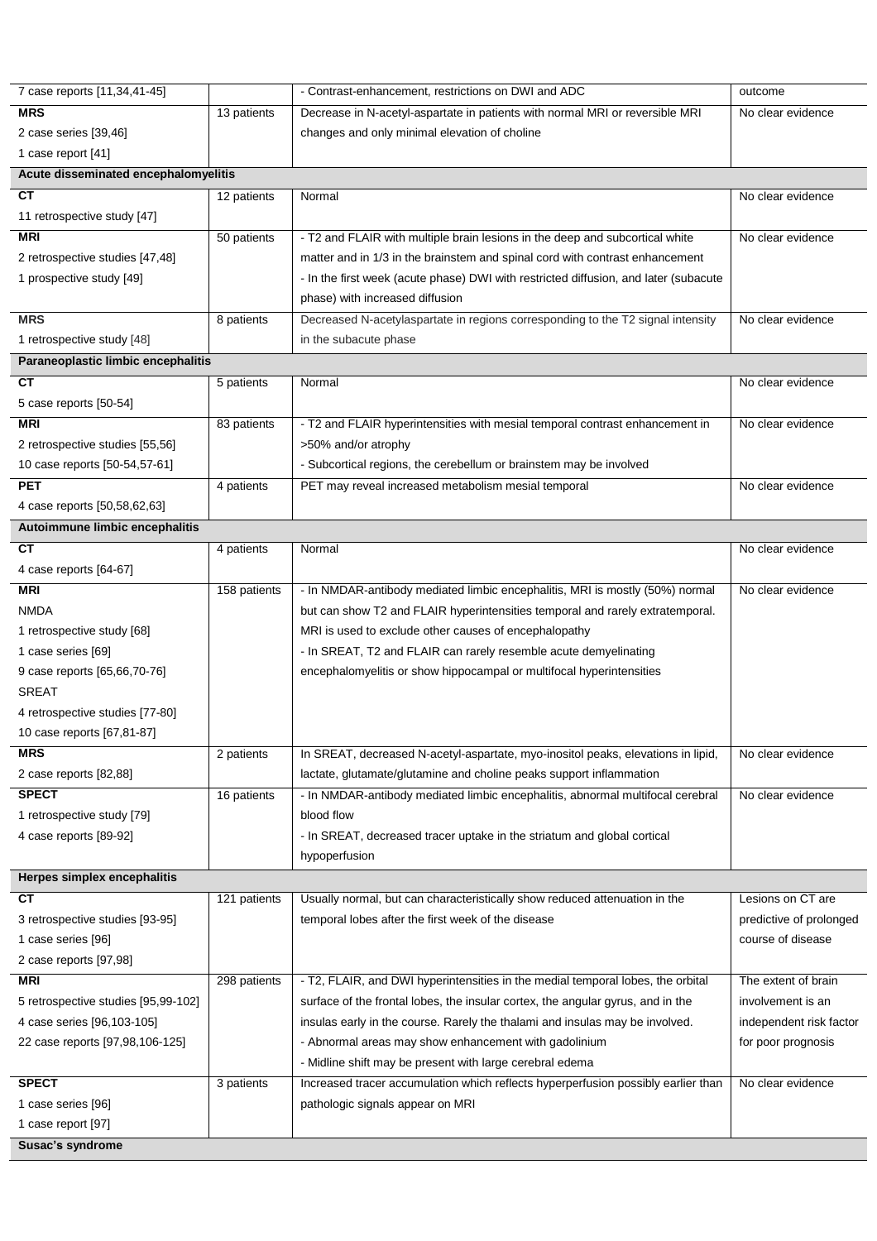| 7 case reports [11,34,41-45]         |              | - Contrast-enhancement, restrictions on DWI and ADC                                  | outcome                 |  |  |  |
|--------------------------------------|--------------|--------------------------------------------------------------------------------------|-------------------------|--|--|--|
| <b>MRS</b>                           | 13 patients  | Decrease in N-acetyl-aspartate in patients with normal MRI or reversible MRI         | No clear evidence       |  |  |  |
| 2 case series [39,46]                |              | changes and only minimal elevation of choline                                        |                         |  |  |  |
| 1 case report [41]                   |              |                                                                                      |                         |  |  |  |
| Acute disseminated encephalomyelitis |              |                                                                                      |                         |  |  |  |
| <b>CT</b>                            | 12 patients  | Normal                                                                               | No clear evidence       |  |  |  |
| 11 retrospective study [47]          |              |                                                                                      |                         |  |  |  |
| <b>MRI</b>                           | 50 patients  | - T2 and FLAIR with multiple brain lesions in the deep and subcortical white         | No clear evidence       |  |  |  |
| 2 retrospective studies [47,48]      |              | matter and in 1/3 in the brainstem and spinal cord with contrast enhancement         |                         |  |  |  |
| 1 prospective study [49]             |              | - In the first week (acute phase) DWI with restricted diffusion, and later (subacute |                         |  |  |  |
|                                      |              | phase) with increased diffusion                                                      |                         |  |  |  |
| <b>MRS</b>                           | 8 patients   | Decreased N-acetylaspartate in regions corresponding to the T2 signal intensity      | No clear evidence       |  |  |  |
| 1 retrospective study [48]           |              | in the subacute phase                                                                |                         |  |  |  |
| Paraneoplastic limbic encephalitis   |              |                                                                                      |                         |  |  |  |
| CT                                   | 5 patients   | Normal                                                                               | No clear evidence       |  |  |  |
| 5 case reports [50-54]               |              |                                                                                      |                         |  |  |  |
| <b>MRI</b>                           | 83 patients  | - T2 and FLAIR hyperintensities with mesial temporal contrast enhancement in         | No clear evidence       |  |  |  |
| 2 retrospective studies [55,56]      |              | >50% and/or atrophy                                                                  |                         |  |  |  |
| 10 case reports [50-54,57-61]        |              | - Subcortical regions, the cerebellum or brainstem may be involved                   |                         |  |  |  |
| <b>PET</b>                           | 4 patients   | PET may reveal increased metabolism mesial temporal                                  | No clear evidence       |  |  |  |
| 4 case reports [50,58,62,63]         |              |                                                                                      |                         |  |  |  |
| Autoimmune limbic encephalitis       |              |                                                                                      |                         |  |  |  |
| <b>CT</b>                            |              | Normal                                                                               | No clear evidence       |  |  |  |
|                                      | 4 patients   |                                                                                      |                         |  |  |  |
| 4 case reports [64-67]               |              |                                                                                      |                         |  |  |  |
| <b>MRI</b>                           | 158 patients | - In NMDAR-antibody mediated limbic encephalitis, MRI is mostly (50%) normal         | No clear evidence       |  |  |  |
| <b>NMDA</b>                          |              | but can show T2 and FLAIR hyperintensities temporal and rarely extratemporal.        |                         |  |  |  |
| 1 retrospective study [68]           |              | MRI is used to exclude other causes of encephalopathy                                |                         |  |  |  |
| 1 case series [69]                   |              | - In SREAT, T2 and FLAIR can rarely resemble acute demyelinating                     |                         |  |  |  |
| 9 case reports [65,66,70-76]         |              | encephalomyelitis or show hippocampal or multifocal hyperintensities                 |                         |  |  |  |
| <b>SREAT</b>                         |              |                                                                                      |                         |  |  |  |
| 4 retrospective studies [77-80]      |              |                                                                                      |                         |  |  |  |
| 10 case reports [67,81-87]           |              |                                                                                      |                         |  |  |  |
| <b>MRS</b>                           | 2 patients   | In SREAT, decreased N-acetyl-aspartate, myo-inositol peaks, elevations in lipid,     | No clear evidence       |  |  |  |
| 2 case reports [82,88]               |              | lactate, glutamate/glutamine and choline peaks support inflammation                  |                         |  |  |  |
| <b>SPECT</b>                         | 16 patients  | - In NMDAR-antibody mediated limbic encephalitis, abnormal multifocal cerebral       | No clear evidence       |  |  |  |
| 1 retrospective study [79]           |              | blood flow                                                                           |                         |  |  |  |
| 4 case reports [89-92]               |              | - In SREAT, decreased tracer uptake in the striatum and global cortical              |                         |  |  |  |
|                                      |              | hypoperfusion                                                                        |                         |  |  |  |
| Herpes simplex encephalitis          |              |                                                                                      |                         |  |  |  |
| <b>CT</b>                            | 121 patients | Usually normal, but can characteristically show reduced attenuation in the           | Lesions on CT are       |  |  |  |
| 3 retrospective studies [93-95]      |              | temporal lobes after the first week of the disease                                   | predictive of prolonged |  |  |  |
| 1 case series [96]                   |              |                                                                                      | course of disease       |  |  |  |
| 2 case reports [97,98]               |              |                                                                                      |                         |  |  |  |
| <b>MRI</b>                           | 298 patients | - T2, FLAIR, and DWI hyperintensities in the medial temporal lobes, the orbital      | The extent of brain     |  |  |  |
| 5 retrospective studies [95,99-102]  |              | surface of the frontal lobes, the insular cortex, the angular gyrus, and in the      | involvement is an       |  |  |  |
| 4 case series [96,103-105]           |              | insulas early in the course. Rarely the thalami and insulas may be involved.         | independent risk factor |  |  |  |
| 22 case reports [97,98,106-125]      |              | - Abnormal areas may show enhancement with gadolinium                                | for poor prognosis      |  |  |  |
|                                      |              | - Midline shift may be present with large cerebral edema                             |                         |  |  |  |
| <b>SPECT</b>                         | 3 patients   | Increased tracer accumulation which reflects hyperperfusion possibly earlier than    | No clear evidence       |  |  |  |
| 1 case series [96]                   |              | pathologic signals appear on MRI                                                     |                         |  |  |  |
| 1 case report [97]                   |              |                                                                                      |                         |  |  |  |
| Susac's syndrome                     |              |                                                                                      |                         |  |  |  |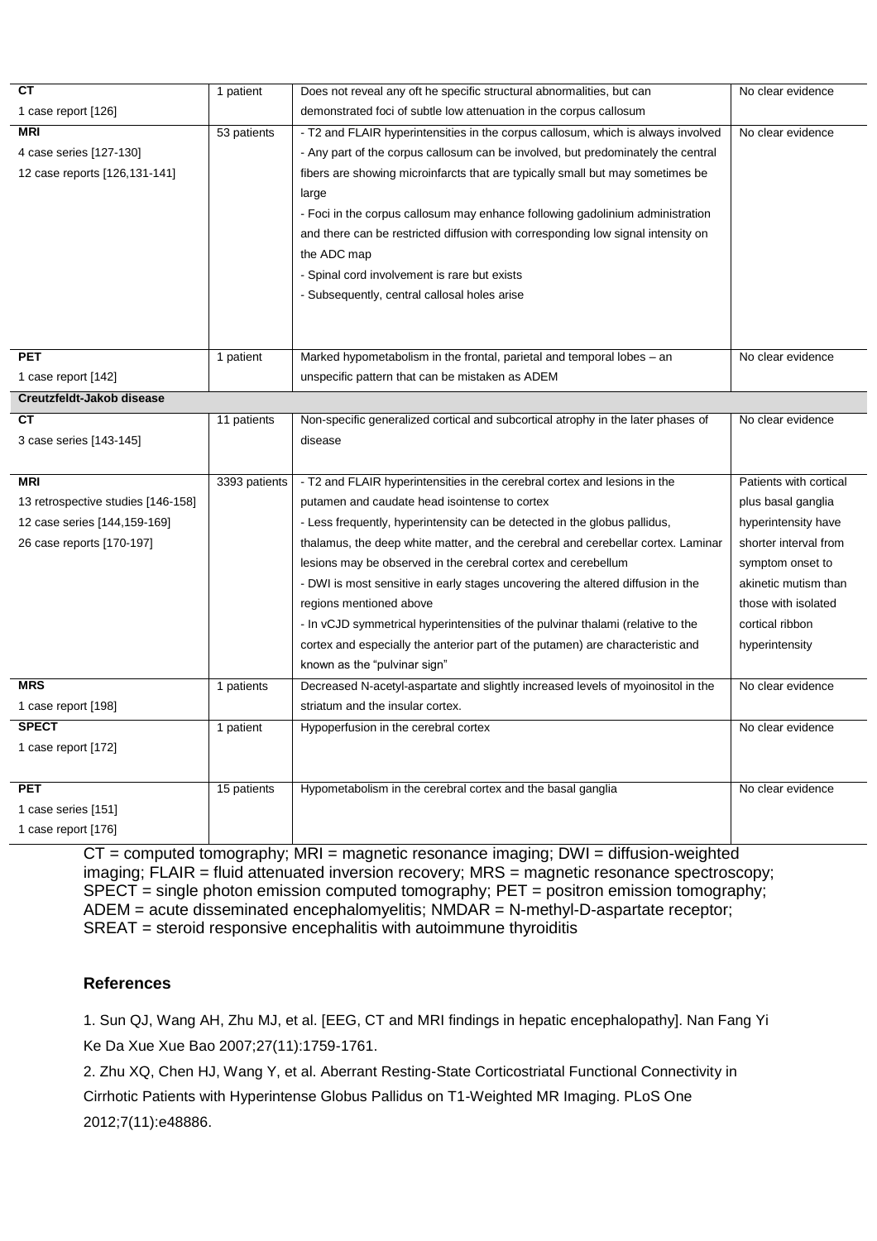| <b>CT</b>                          | 1 patient     | Does not reveal any oft he specific structural abnormalities, but can            | No clear evidence      |
|------------------------------------|---------------|----------------------------------------------------------------------------------|------------------------|
| 1 case report [126]                |               | demonstrated foci of subtle low attenuation in the corpus callosum               |                        |
| <b>MRI</b>                         | 53 patients   | - T2 and FLAIR hyperintensities in the corpus callosum, which is always involved | No clear evidence      |
| 4 case series [127-130]            |               | - Any part of the corpus callosum can be involved, but predominately the central |                        |
| 12 case reports [126,131-141]      |               | fibers are showing microinfarcts that are typically small but may sometimes be   |                        |
|                                    |               | large                                                                            |                        |
|                                    |               | - Foci in the corpus callosum may enhance following gadolinium administration    |                        |
|                                    |               | and there can be restricted diffusion with corresponding low signal intensity on |                        |
|                                    |               | the ADC map                                                                      |                        |
|                                    |               | - Spinal cord involvement is rare but exists                                     |                        |
|                                    |               | - Subsequently, central callosal holes arise                                     |                        |
|                                    |               |                                                                                  |                        |
|                                    |               |                                                                                  |                        |
| <b>PET</b>                         | 1 patient     | Marked hypometabolism in the frontal, parietal and temporal lobes - an           | No clear evidence      |
| 1 case report [142]                |               | unspecific pattern that can be mistaken as ADEM                                  |                        |
| Creutzfeldt-Jakob disease          |               |                                                                                  |                        |
| <b>CT</b>                          | 11 patients   | Non-specific generalized cortical and subcortical atrophy in the later phases of | No clear evidence      |
| 3 case series [143-145]            |               | disease                                                                          |                        |
|                                    |               |                                                                                  |                        |
| <b>MRI</b>                         | 3393 patients | - T2 and FLAIR hyperintensities in the cerebral cortex and lesions in the        | Patients with cortical |
| 13 retrospective studies [146-158] |               | putamen and caudate head isointense to cortex                                    | plus basal ganglia     |
| 12 case series [144,159-169]       |               | - Less frequently, hyperintensity can be detected in the globus pallidus,        | hyperintensity have    |
| 26 case reports [170-197]          |               | thalamus, the deep white matter, and the cerebral and cerebellar cortex. Laminar | shorter interval from  |
|                                    |               | lesions may be observed in the cerebral cortex and cerebellum                    | symptom onset to       |
|                                    |               | - DWI is most sensitive in early stages uncovering the altered diffusion in the  | akinetic mutism than   |
|                                    |               | regions mentioned above                                                          | those with isolated    |
|                                    |               | - In vCJD symmetrical hyperintensities of the pulvinar thalami (relative to the  | cortical ribbon        |
|                                    |               | cortex and especially the anterior part of the putamen) are characteristic and   | hyperintensity         |
|                                    |               | known as the "pulvinar sign"                                                     |                        |
| <b>MRS</b>                         | 1 patients    | Decreased N-acetyl-aspartate and slightly increased levels of myoinositol in the | No clear evidence      |
| 1 case report [198]                |               | striatum and the insular cortex.                                                 |                        |
| <b>SPECT</b>                       | 1 patient     | Hypoperfusion in the cerebral cortex                                             | No clear evidence      |
| 1 case report [172]                |               |                                                                                  |                        |
|                                    |               |                                                                                  |                        |
| <b>PET</b>                         | 15 patients   | Hypometabolism in the cerebral cortex and the basal ganglia                      | No clear evidence      |
| 1 case series [151]                |               |                                                                                  |                        |
| 1 case report [176]                |               |                                                                                  |                        |

 $CT = computed tomography$ ;  $MRI = magnetic resonance imaging$ ;  $DWI = diffusion-weighted$ imaging; FLAIR = fluid attenuated inversion recovery; MRS = magnetic resonance spectroscopy;  $SPECT = single photon emission computed tomography; PET = position emission tomography;$ ADEM = acute disseminated encephalomyelitis; NMDAR = N-methyl-D-aspartate receptor; SREAT = steroid responsive encephalitis with autoimmune thyroiditis

## **References**

1. Sun QJ, Wang AH, Zhu MJ, et al. [EEG, CT and MRI findings in hepatic encephalopathy]. Nan Fang Yi Ke Da Xue Xue Bao 2007;27(11):1759-1761.

2. Zhu XQ, Chen HJ, Wang Y, et al. Aberrant Resting-State Corticostriatal Functional Connectivity in Cirrhotic Patients with Hyperintense Globus Pallidus on T1-Weighted MR Imaging. PLoS One 2012;7(11):e48886.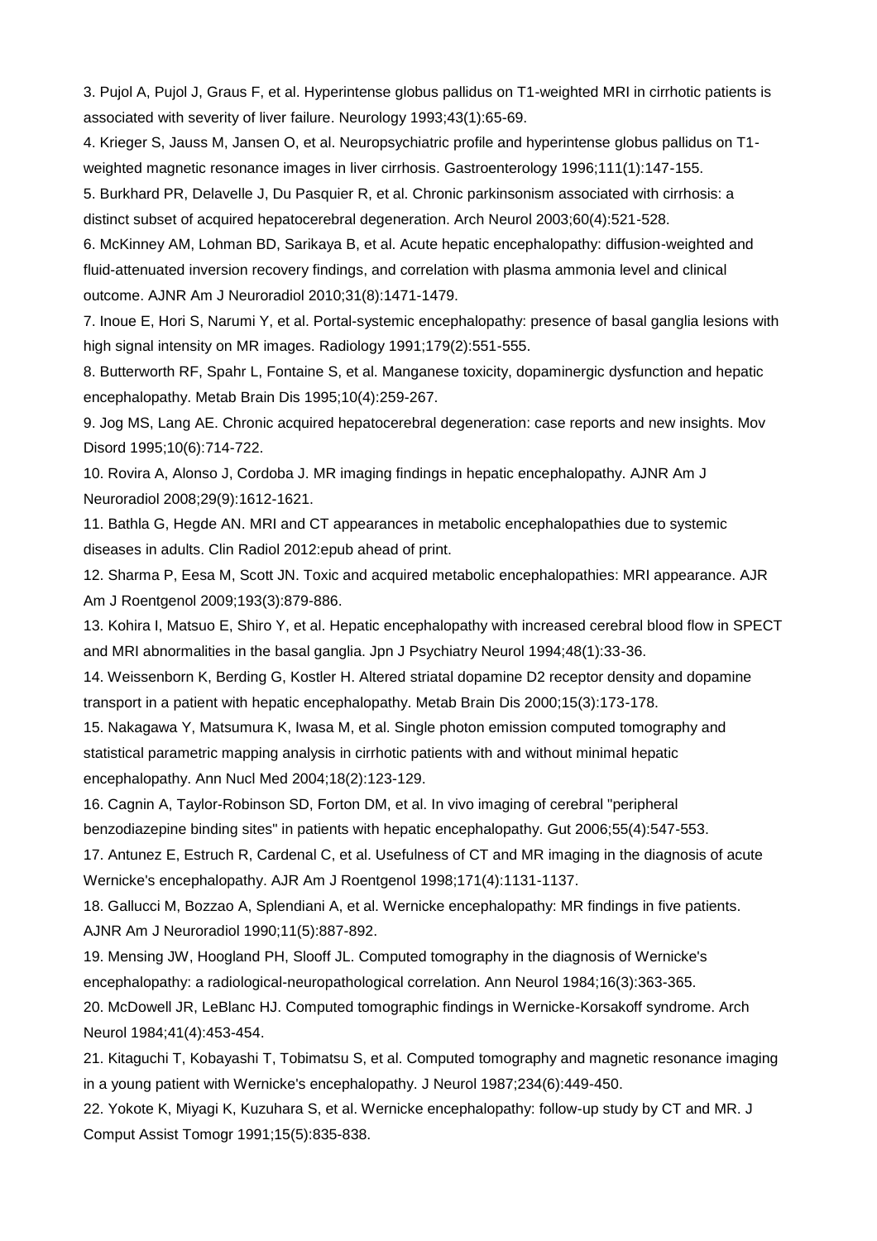3. Pujol A, Pujol J, Graus F, et al. Hyperintense globus pallidus on T1-weighted MRI in cirrhotic patients is associated with severity of liver failure. Neurology 1993;43(1):65-69.

4. Krieger S, Jauss M, Jansen O, et al. Neuropsychiatric profile and hyperintense globus pallidus on T1 weighted magnetic resonance images in liver cirrhosis. Gastroenterology 1996;111(1):147-155.

5. Burkhard PR, Delavelle J, Du Pasquier R, et al. Chronic parkinsonism associated with cirrhosis: a distinct subset of acquired hepatocerebral degeneration. Arch Neurol 2003;60(4):521-528.

6. McKinney AM, Lohman BD, Sarikaya B, et al. Acute hepatic encephalopathy: diffusion-weighted and fluid-attenuated inversion recovery findings, and correlation with plasma ammonia level and clinical outcome. AJNR Am J Neuroradiol 2010;31(8):1471-1479.

7. Inoue E, Hori S, Narumi Y, et al. Portal-systemic encephalopathy: presence of basal ganglia lesions with high signal intensity on MR images. Radiology 1991;179(2):551-555.

8. Butterworth RF, Spahr L, Fontaine S, et al. Manganese toxicity, dopaminergic dysfunction and hepatic encephalopathy. Metab Brain Dis 1995;10(4):259-267.

9. Jog MS, Lang AE. Chronic acquired hepatocerebral degeneration: case reports and new insights. Mov Disord 1995;10(6):714-722.

10. Rovira A, Alonso J, Cordoba J. MR imaging findings in hepatic encephalopathy. AJNR Am J Neuroradiol 2008;29(9):1612-1621.

11. Bathla G, Hegde AN. MRI and CT appearances in metabolic encephalopathies due to systemic diseases in adults. Clin Radiol 2012:epub ahead of print.

12. Sharma P, Eesa M, Scott JN. Toxic and acquired metabolic encephalopathies: MRI appearance. AJR Am J Roentgenol 2009;193(3):879-886.

13. Kohira I, Matsuo E, Shiro Y, et al. Hepatic encephalopathy with increased cerebral blood flow in SPECT and MRI abnormalities in the basal ganglia. Jpn J Psychiatry Neurol 1994;48(1):33-36.

14. Weissenborn K, Berding G, Kostler H. Altered striatal dopamine D2 receptor density and dopamine transport in a patient with hepatic encephalopathy. Metab Brain Dis 2000;15(3):173-178.

15. Nakagawa Y, Matsumura K, Iwasa M, et al. Single photon emission computed tomography and statistical parametric mapping analysis in cirrhotic patients with and without minimal hepatic encephalopathy. Ann Nucl Med 2004;18(2):123-129.

16. Cagnin A, Taylor-Robinson SD, Forton DM, et al. In vivo imaging of cerebral "peripheral benzodiazepine binding sites" in patients with hepatic encephalopathy. Gut 2006;55(4):547-553.

17. Antunez E, Estruch R, Cardenal C, et al. Usefulness of CT and MR imaging in the diagnosis of acute Wernicke's encephalopathy. AJR Am J Roentgenol 1998;171(4):1131-1137.

18. Gallucci M, Bozzao A, Splendiani A, et al. Wernicke encephalopathy: MR findings in five patients. AJNR Am J Neuroradiol 1990;11(5):887-892.

19. Mensing JW, Hoogland PH, Slooff JL. Computed tomography in the diagnosis of Wernicke's encephalopathy: a radiological-neuropathological correlation. Ann Neurol 1984;16(3):363-365.

20. McDowell JR, LeBlanc HJ. Computed tomographic findings in Wernicke-Korsakoff syndrome. Arch Neurol 1984;41(4):453-454.

21. Kitaguchi T, Kobayashi T, Tobimatsu S, et al. Computed tomography and magnetic resonance imaging in a young patient with Wernicke's encephalopathy. J Neurol 1987;234(6):449-450.

22. Yokote K, Miyagi K, Kuzuhara S, et al. Wernicke encephalopathy: follow-up study by CT and MR. J Comput Assist Tomogr 1991;15(5):835-838.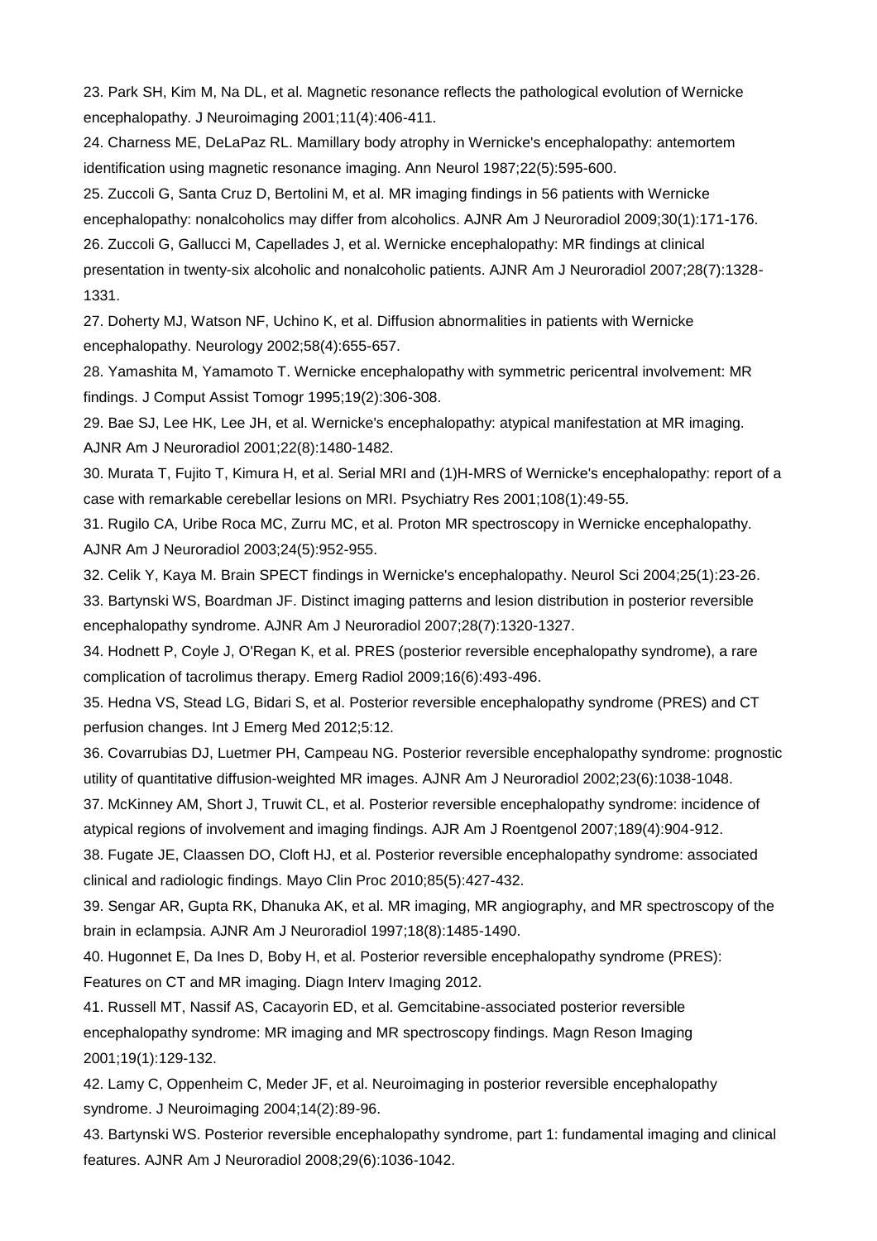23. Park SH, Kim M, Na DL, et al. Magnetic resonance reflects the pathological evolution of Wernicke encephalopathy. J Neuroimaging 2001;11(4):406-411.

24. Charness ME, DeLaPaz RL. Mamillary body atrophy in Wernicke's encephalopathy: antemortem identification using magnetic resonance imaging. Ann Neurol 1987;22(5):595-600.

25. Zuccoli G, Santa Cruz D, Bertolini M, et al. MR imaging findings in 56 patients with Wernicke encephalopathy: nonalcoholics may differ from alcoholics. AJNR Am J Neuroradiol 2009;30(1):171-176. 26. Zuccoli G, Gallucci M, Capellades J, et al. Wernicke encephalopathy: MR findings at clinical presentation in twenty-six alcoholic and nonalcoholic patients. AJNR Am J Neuroradiol 2007;28(7):1328- 1331.

27. Doherty MJ, Watson NF, Uchino K, et al. Diffusion abnormalities in patients with Wernicke encephalopathy. Neurology 2002;58(4):655-657.

28. Yamashita M, Yamamoto T. Wernicke encephalopathy with symmetric pericentral involvement: MR findings. J Comput Assist Tomogr 1995;19(2):306-308.

29. Bae SJ, Lee HK, Lee JH, et al. Wernicke's encephalopathy: atypical manifestation at MR imaging. AJNR Am J Neuroradiol 2001;22(8):1480-1482.

30. Murata T, Fujito T, Kimura H, et al. Serial MRI and (1)H-MRS of Wernicke's encephalopathy: report of a case with remarkable cerebellar lesions on MRI. Psychiatry Res 2001;108(1):49-55.

31. Rugilo CA, Uribe Roca MC, Zurru MC, et al. Proton MR spectroscopy in Wernicke encephalopathy. AJNR Am J Neuroradiol 2003;24(5):952-955.

32. Celik Y, Kaya M. Brain SPECT findings in Wernicke's encephalopathy. Neurol Sci 2004;25(1):23-26.

33. Bartynski WS, Boardman JF. Distinct imaging patterns and lesion distribution in posterior reversible encephalopathy syndrome. AJNR Am J Neuroradiol 2007;28(7):1320-1327.

34. Hodnett P, Coyle J, O'Regan K, et al. PRES (posterior reversible encephalopathy syndrome), a rare complication of tacrolimus therapy. Emerg Radiol 2009;16(6):493-496.

35. Hedna VS, Stead LG, Bidari S, et al. Posterior reversible encephalopathy syndrome (PRES) and CT perfusion changes. Int J Emerg Med 2012;5:12.

36. Covarrubias DJ, Luetmer PH, Campeau NG. Posterior reversible encephalopathy syndrome: prognostic utility of quantitative diffusion-weighted MR images. AJNR Am J Neuroradiol 2002;23(6):1038-1048.

37. McKinney AM, Short J, Truwit CL, et al. Posterior reversible encephalopathy syndrome: incidence of atypical regions of involvement and imaging findings. AJR Am J Roentgenol 2007;189(4):904-912.

38. Fugate JE, Claassen DO, Cloft HJ, et al. Posterior reversible encephalopathy syndrome: associated clinical and radiologic findings. Mayo Clin Proc 2010;85(5):427-432.

39. Sengar AR, Gupta RK, Dhanuka AK, et al. MR imaging, MR angiography, and MR spectroscopy of the brain in eclampsia. AJNR Am J Neuroradiol 1997;18(8):1485-1490.

40. Hugonnet E, Da Ines D, Boby H, et al. Posterior reversible encephalopathy syndrome (PRES): Features on CT and MR imaging. Diagn Interv Imaging 2012.

41. Russell MT, Nassif AS, Cacayorin ED, et al. Gemcitabine-associated posterior reversible encephalopathy syndrome: MR imaging and MR spectroscopy findings. Magn Reson Imaging 2001;19(1):129-132.

42. Lamy C, Oppenheim C, Meder JF, et al. Neuroimaging in posterior reversible encephalopathy syndrome. J Neuroimaging 2004;14(2):89-96.

43. Bartynski WS. Posterior reversible encephalopathy syndrome, part 1: fundamental imaging and clinical features. AJNR Am J Neuroradiol 2008;29(6):1036-1042.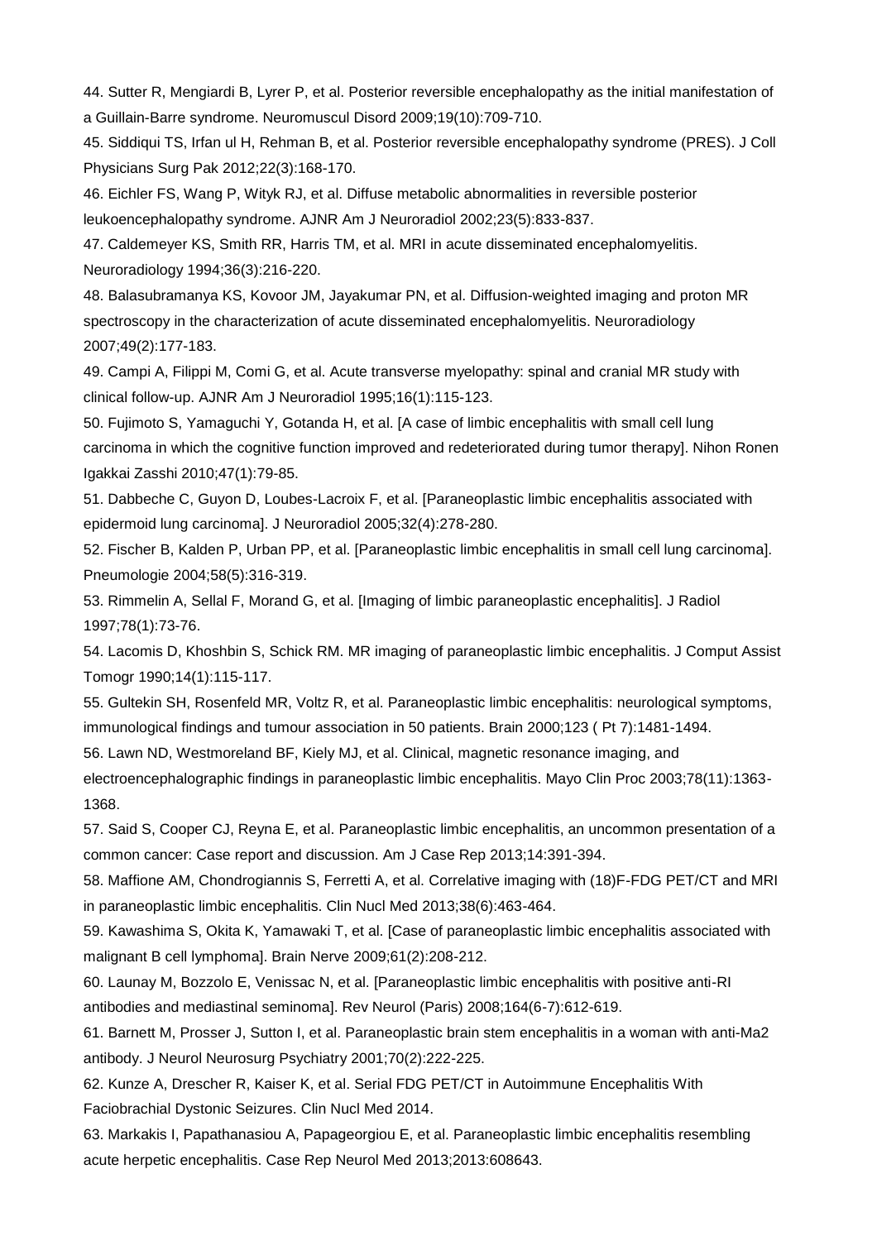44. Sutter R, Mengiardi B, Lyrer P, et al. Posterior reversible encephalopathy as the initial manifestation of a Guillain-Barre syndrome. Neuromuscul Disord 2009;19(10):709-710.

45. Siddiqui TS, Irfan ul H, Rehman B, et al. Posterior reversible encephalopathy syndrome (PRES). J Coll Physicians Surg Pak 2012;22(3):168-170.

46. Eichler FS, Wang P, Wityk RJ, et al. Diffuse metabolic abnormalities in reversible posterior leukoencephalopathy syndrome. AJNR Am J Neuroradiol 2002;23(5):833-837.

47. Caldemeyer KS, Smith RR, Harris TM, et al. MRI in acute disseminated encephalomyelitis. Neuroradiology 1994;36(3):216-220.

48. Balasubramanya KS, Kovoor JM, Jayakumar PN, et al. Diffusion-weighted imaging and proton MR spectroscopy in the characterization of acute disseminated encephalomyelitis. Neuroradiology 2007;49(2):177-183.

49. Campi A, Filippi M, Comi G, et al. Acute transverse myelopathy: spinal and cranial MR study with clinical follow-up. AJNR Am J Neuroradiol 1995;16(1):115-123.

50. Fujimoto S, Yamaguchi Y, Gotanda H, et al. [A case of limbic encephalitis with small cell lung carcinoma in which the cognitive function improved and redeteriorated during tumor therapy]. Nihon Ronen Igakkai Zasshi 2010;47(1):79-85.

51. Dabbeche C, Guyon D, Loubes-Lacroix F, et al. [Paraneoplastic limbic encephalitis associated with epidermoid lung carcinoma]. J Neuroradiol 2005;32(4):278-280.

52. Fischer B, Kalden P, Urban PP, et al. [Paraneoplastic limbic encephalitis in small cell lung carcinoma]. Pneumologie 2004;58(5):316-319.

53. Rimmelin A, Sellal F, Morand G, et al. [Imaging of limbic paraneoplastic encephalitis]. J Radiol 1997;78(1):73-76.

54. Lacomis D, Khoshbin S, Schick RM. MR imaging of paraneoplastic limbic encephalitis. J Comput Assist Tomogr 1990;14(1):115-117.

55. Gultekin SH, Rosenfeld MR, Voltz R, et al. Paraneoplastic limbic encephalitis: neurological symptoms, immunological findings and tumour association in 50 patients. Brain 2000;123 ( Pt 7):1481-1494.

56. Lawn ND, Westmoreland BF, Kiely MJ, et al. Clinical, magnetic resonance imaging, and

electroencephalographic findings in paraneoplastic limbic encephalitis. Mayo Clin Proc 2003;78(11):1363- 1368.

57. Said S, Cooper CJ, Reyna E, et al. Paraneoplastic limbic encephalitis, an uncommon presentation of a common cancer: Case report and discussion. Am J Case Rep 2013;14:391-394.

58. Maffione AM, Chondrogiannis S, Ferretti A, et al. Correlative imaging with (18)F-FDG PET/CT and MRI in paraneoplastic limbic encephalitis. Clin Nucl Med 2013;38(6):463-464.

59. Kawashima S, Okita K, Yamawaki T, et al. [Case of paraneoplastic limbic encephalitis associated with malignant B cell lymphoma]. Brain Nerve 2009;61(2):208-212.

60. Launay M, Bozzolo E, Venissac N, et al. [Paraneoplastic limbic encephalitis with positive anti-RI antibodies and mediastinal seminoma]. Rev Neurol (Paris) 2008;164(6-7):612-619.

61. Barnett M, Prosser J, Sutton I, et al. Paraneoplastic brain stem encephalitis in a woman with anti-Ma2 antibody. J Neurol Neurosurg Psychiatry 2001;70(2):222-225.

62. Kunze A, Drescher R, Kaiser K, et al. Serial FDG PET/CT in Autoimmune Encephalitis With Faciobrachial Dystonic Seizures. Clin Nucl Med 2014.

63. Markakis I, Papathanasiou A, Papageorgiou E, et al. Paraneoplastic limbic encephalitis resembling acute herpetic encephalitis. Case Rep Neurol Med 2013;2013:608643.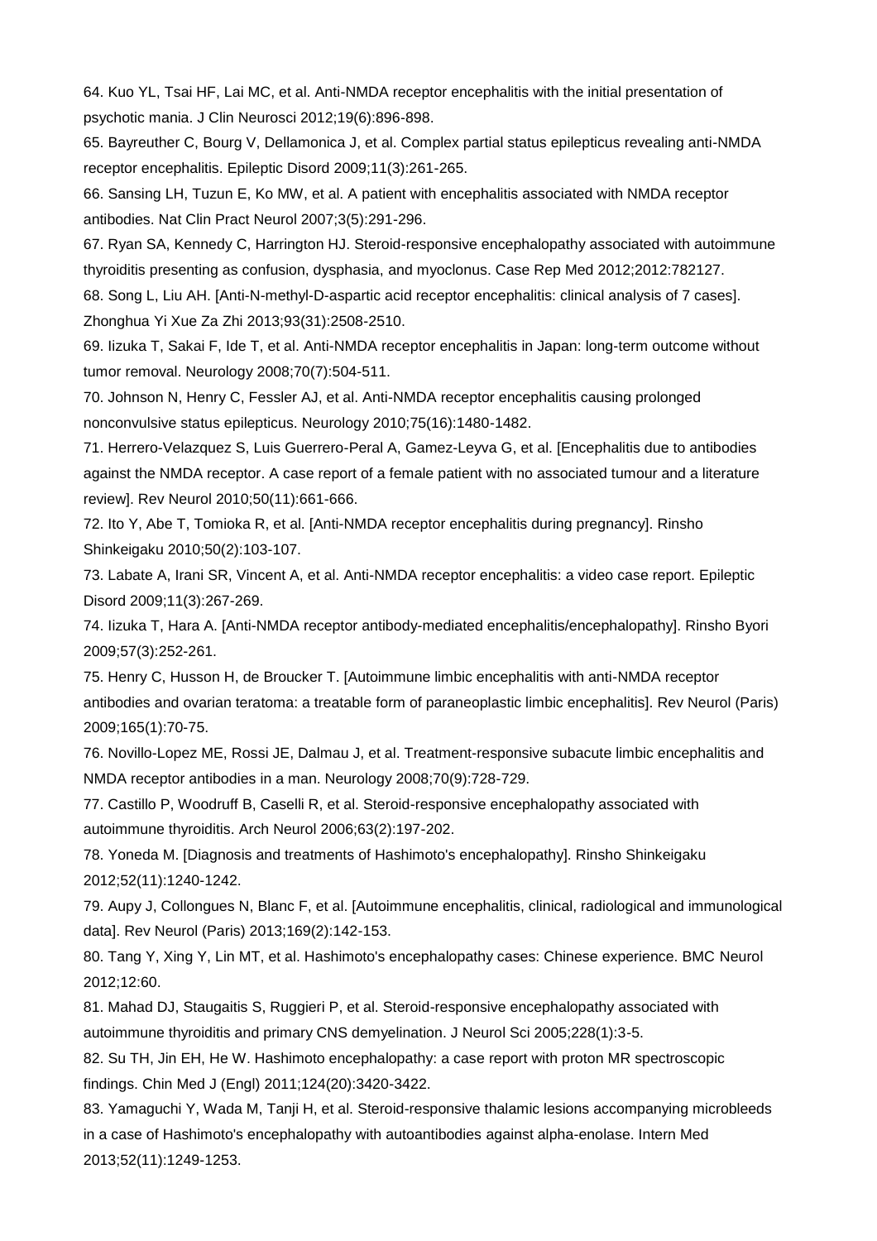64. Kuo YL, Tsai HF, Lai MC, et al. Anti-NMDA receptor encephalitis with the initial presentation of psychotic mania. J Clin Neurosci 2012;19(6):896-898.

65. Bayreuther C, Bourg V, Dellamonica J, et al. Complex partial status epilepticus revealing anti-NMDA receptor encephalitis. Epileptic Disord 2009;11(3):261-265.

66. Sansing LH, Tuzun E, Ko MW, et al. A patient with encephalitis associated with NMDA receptor antibodies. Nat Clin Pract Neurol 2007;3(5):291-296.

67. Ryan SA, Kennedy C, Harrington HJ. Steroid-responsive encephalopathy associated with autoimmune thyroiditis presenting as confusion, dysphasia, and myoclonus. Case Rep Med 2012;2012:782127.

68. Song L, Liu AH. [Anti-N-methyl-D-aspartic acid receptor encephalitis: clinical analysis of 7 cases]. Zhonghua Yi Xue Za Zhi 2013;93(31):2508-2510.

69. Iizuka T, Sakai F, Ide T, et al. Anti-NMDA receptor encephalitis in Japan: long-term outcome without tumor removal. Neurology 2008;70(7):504-511.

70. Johnson N, Henry C, Fessler AJ, et al. Anti-NMDA receptor encephalitis causing prolonged nonconvulsive status epilepticus. Neurology 2010;75(16):1480-1482.

71. Herrero-Velazquez S, Luis Guerrero-Peral A, Gamez-Leyva G, et al. [Encephalitis due to antibodies against the NMDA receptor. A case report of a female patient with no associated tumour and a literature review]. Rev Neurol 2010;50(11):661-666.

72. Ito Y, Abe T, Tomioka R, et al. [Anti-NMDA receptor encephalitis during pregnancy]. Rinsho Shinkeigaku 2010;50(2):103-107.

73. Labate A, Irani SR, Vincent A, et al. Anti-NMDA receptor encephalitis: a video case report. Epileptic Disord 2009;11(3):267-269.

74. Iizuka T, Hara A. [Anti-NMDA receptor antibody-mediated encephalitis/encephalopathy]. Rinsho Byori 2009;57(3):252-261.

75. Henry C, Husson H, de Broucker T. [Autoimmune limbic encephalitis with anti-NMDA receptor antibodies and ovarian teratoma: a treatable form of paraneoplastic limbic encephalitis]. Rev Neurol (Paris) 2009;165(1):70-75.

76. Novillo-Lopez ME, Rossi JE, Dalmau J, et al. Treatment-responsive subacute limbic encephalitis and NMDA receptor antibodies in a man. Neurology 2008;70(9):728-729.

77. Castillo P, Woodruff B, Caselli R, et al. Steroid-responsive encephalopathy associated with autoimmune thyroiditis. Arch Neurol 2006;63(2):197-202.

78. Yoneda M. [Diagnosis and treatments of Hashimoto's encephalopathy]. Rinsho Shinkeigaku 2012;52(11):1240-1242.

79. Aupy J, Collongues N, Blanc F, et al. [Autoimmune encephalitis, clinical, radiological and immunological data]. Rev Neurol (Paris) 2013;169(2):142-153.

80. Tang Y, Xing Y, Lin MT, et al. Hashimoto's encephalopathy cases: Chinese experience. BMC Neurol 2012;12:60.

81. Mahad DJ, Staugaitis S, Ruggieri P, et al. Steroid-responsive encephalopathy associated with autoimmune thyroiditis and primary CNS demyelination. J Neurol Sci 2005;228(1):3-5.

82. Su TH, Jin EH, He W. Hashimoto encephalopathy: a case report with proton MR spectroscopic findings. Chin Med J (Engl) 2011;124(20):3420-3422.

83. Yamaguchi Y, Wada M, Tanji H, et al. Steroid-responsive thalamic lesions accompanying microbleeds in a case of Hashimoto's encephalopathy with autoantibodies against alpha-enolase. Intern Med 2013;52(11):1249-1253.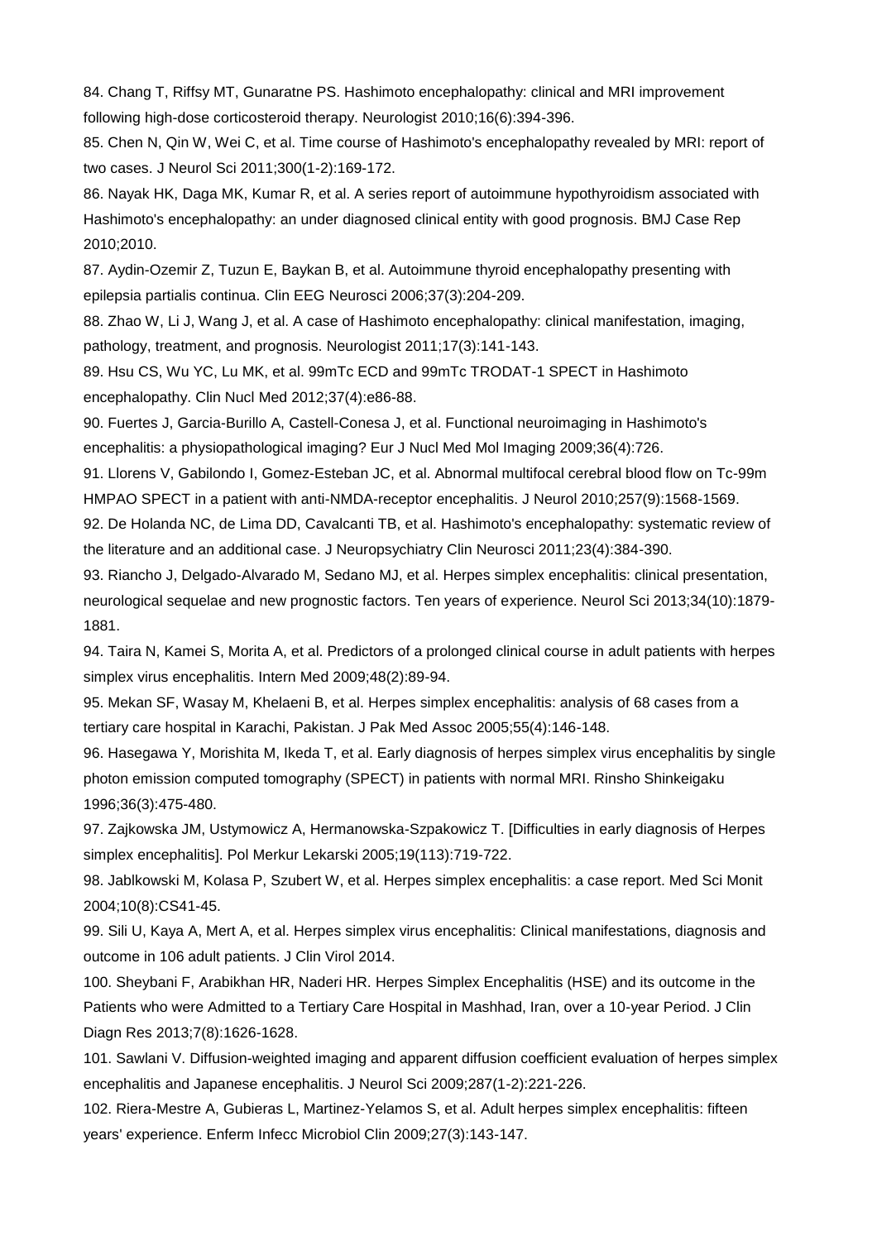84. Chang T, Riffsy MT, Gunaratne PS. Hashimoto encephalopathy: clinical and MRI improvement following high-dose corticosteroid therapy. Neurologist 2010;16(6):394-396.

85. Chen N, Qin W, Wei C, et al. Time course of Hashimoto's encephalopathy revealed by MRI: report of two cases. J Neurol Sci 2011;300(1-2):169-172.

86. Nayak HK, Daga MK, Kumar R, et al. A series report of autoimmune hypothyroidism associated with Hashimoto's encephalopathy: an under diagnosed clinical entity with good prognosis. BMJ Case Rep 2010;2010.

87. Aydin-Ozemir Z, Tuzun E, Baykan B, et al. Autoimmune thyroid encephalopathy presenting with epilepsia partialis continua. Clin EEG Neurosci 2006;37(3):204-209.

88. Zhao W, Li J, Wang J, et al. A case of Hashimoto encephalopathy: clinical manifestation, imaging, pathology, treatment, and prognosis. Neurologist 2011;17(3):141-143.

89. Hsu CS, Wu YC, Lu MK, et al. 99mTc ECD and 99mTc TRODAT-1 SPECT in Hashimoto encephalopathy. Clin Nucl Med 2012;37(4):e86-88.

90. Fuertes J, Garcia-Burillo A, Castell-Conesa J, et al. Functional neuroimaging in Hashimoto's encephalitis: a physiopathological imaging? Eur J Nucl Med Mol Imaging 2009;36(4):726.

91. Llorens V, Gabilondo I, Gomez-Esteban JC, et al. Abnormal multifocal cerebral blood flow on Tc-99m HMPAO SPECT in a patient with anti-NMDA-receptor encephalitis. J Neurol 2010;257(9):1568-1569.

92. De Holanda NC, de Lima DD, Cavalcanti TB, et al. Hashimoto's encephalopathy: systematic review of the literature and an additional case. J Neuropsychiatry Clin Neurosci 2011;23(4):384-390.

93. Riancho J, Delgado-Alvarado M, Sedano MJ, et al. Herpes simplex encephalitis: clinical presentation, neurological sequelae and new prognostic factors. Ten years of experience. Neurol Sci 2013;34(10):1879- 1881.

94. Taira N, Kamei S, Morita A, et al. Predictors of a prolonged clinical course in adult patients with herpes simplex virus encephalitis. Intern Med 2009;48(2):89-94.

95. Mekan SF, Wasay M, Khelaeni B, et al. Herpes simplex encephalitis: analysis of 68 cases from a tertiary care hospital in Karachi, Pakistan. J Pak Med Assoc 2005;55(4):146-148.

96. Hasegawa Y, Morishita M, Ikeda T, et al. Early diagnosis of herpes simplex virus encephalitis by single photon emission computed tomography (SPECT) in patients with normal MRI. Rinsho Shinkeigaku 1996;36(3):475-480.

97. Zajkowska JM, Ustymowicz A, Hermanowska-Szpakowicz T. [Difficulties in early diagnosis of Herpes simplex encephalitis]. Pol Merkur Lekarski 2005;19(113):719-722.

98. Jablkowski M, Kolasa P, Szubert W, et al. Herpes simplex encephalitis: a case report. Med Sci Monit 2004;10(8):CS41-45.

99. Sili U, Kaya A, Mert A, et al. Herpes simplex virus encephalitis: Clinical manifestations, diagnosis and outcome in 106 adult patients. J Clin Virol 2014.

100. Sheybani F, Arabikhan HR, Naderi HR. Herpes Simplex Encephalitis (HSE) and its outcome in the Patients who were Admitted to a Tertiary Care Hospital in Mashhad, Iran, over a 10-year Period. J Clin Diagn Res 2013;7(8):1626-1628.

101. Sawlani V. Diffusion-weighted imaging and apparent diffusion coefficient evaluation of herpes simplex encephalitis and Japanese encephalitis. J Neurol Sci 2009;287(1-2):221-226.

102. Riera-Mestre A, Gubieras L, Martinez-Yelamos S, et al. Adult herpes simplex encephalitis: fifteen years' experience. Enferm Infecc Microbiol Clin 2009;27(3):143-147.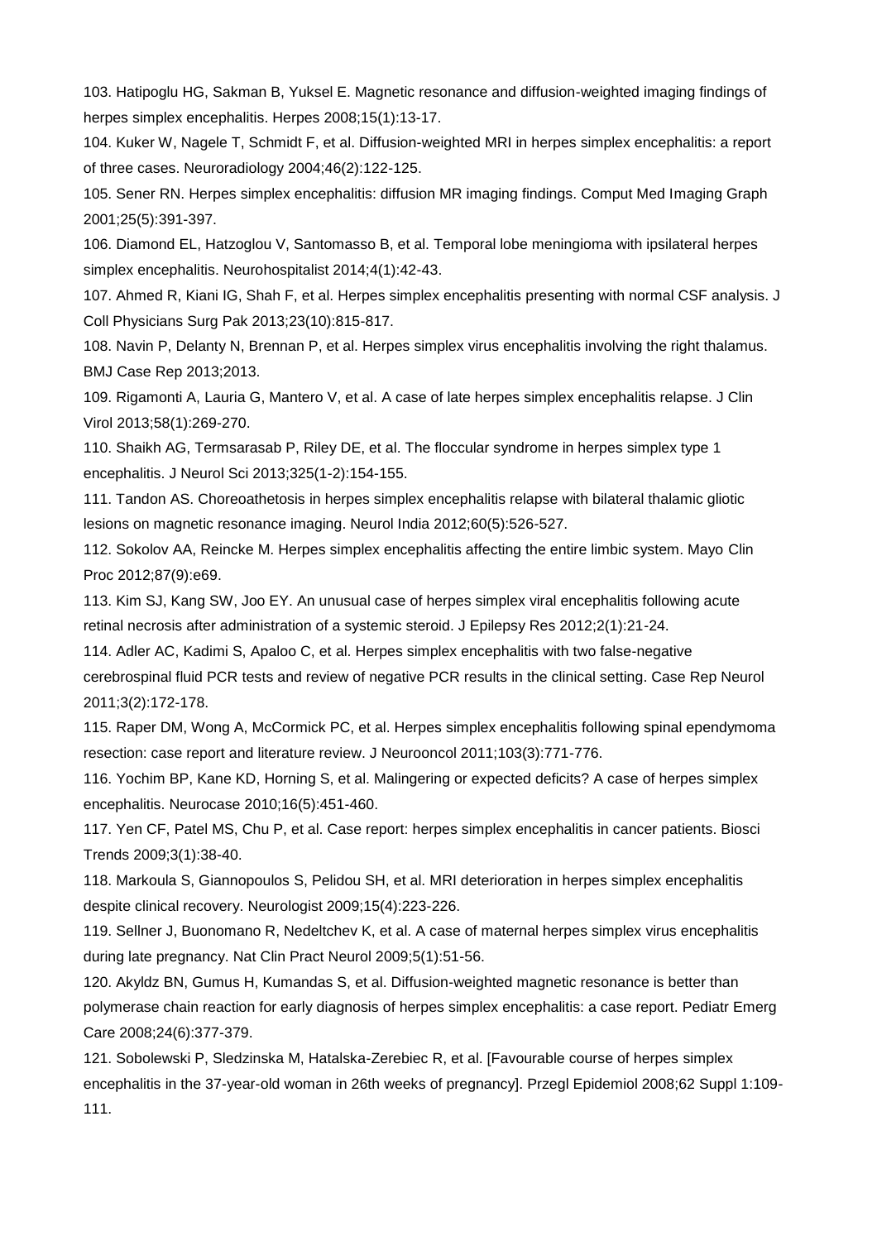103. Hatipoglu HG, Sakman B, Yuksel E. Magnetic resonance and diffusion-weighted imaging findings of herpes simplex encephalitis. Herpes 2008;15(1):13-17.

104. Kuker W, Nagele T, Schmidt F, et al. Diffusion-weighted MRI in herpes simplex encephalitis: a report of three cases. Neuroradiology 2004;46(2):122-125.

105. Sener RN. Herpes simplex encephalitis: diffusion MR imaging findings. Comput Med Imaging Graph 2001;25(5):391-397.

106. Diamond EL, Hatzoglou V, Santomasso B, et al. Temporal lobe meningioma with ipsilateral herpes simplex encephalitis. Neurohospitalist 2014;4(1):42-43.

107. Ahmed R, Kiani IG, Shah F, et al. Herpes simplex encephalitis presenting with normal CSF analysis. J Coll Physicians Surg Pak 2013;23(10):815-817.

108. Navin P, Delanty N, Brennan P, et al. Herpes simplex virus encephalitis involving the right thalamus. BMJ Case Rep 2013;2013.

109. Rigamonti A, Lauria G, Mantero V, et al. A case of late herpes simplex encephalitis relapse. J Clin Virol 2013;58(1):269-270.

110. Shaikh AG, Termsarasab P, Riley DE, et al. The floccular syndrome in herpes simplex type 1 encephalitis. J Neurol Sci 2013;325(1-2):154-155.

111. Tandon AS. Choreoathetosis in herpes simplex encephalitis relapse with bilateral thalamic gliotic lesions on magnetic resonance imaging. Neurol India 2012;60(5):526-527.

112. Sokolov AA, Reincke M. Herpes simplex encephalitis affecting the entire limbic system. Mayo Clin Proc 2012;87(9):e69.

113. Kim SJ, Kang SW, Joo EY. An unusual case of herpes simplex viral encephalitis following acute retinal necrosis after administration of a systemic steroid. J Epilepsy Res 2012;2(1):21-24.

114. Adler AC, Kadimi S, Apaloo C, et al. Herpes simplex encephalitis with two false-negative cerebrospinal fluid PCR tests and review of negative PCR results in the clinical setting. Case Rep Neurol 2011;3(2):172-178.

115. Raper DM, Wong A, McCormick PC, et al. Herpes simplex encephalitis following spinal ependymoma resection: case report and literature review. J Neurooncol 2011;103(3):771-776.

116. Yochim BP, Kane KD, Horning S, et al. Malingering or expected deficits? A case of herpes simplex encephalitis. Neurocase 2010;16(5):451-460.

117. Yen CF, Patel MS, Chu P, et al. Case report: herpes simplex encephalitis in cancer patients. Biosci Trends 2009;3(1):38-40.

118. Markoula S, Giannopoulos S, Pelidou SH, et al. MRI deterioration in herpes simplex encephalitis despite clinical recovery. Neurologist 2009;15(4):223-226.

119. Sellner J, Buonomano R, Nedeltchev K, et al. A case of maternal herpes simplex virus encephalitis during late pregnancy. Nat Clin Pract Neurol 2009;5(1):51-56.

120. Akyldz BN, Gumus H, Kumandas S, et al. Diffusion-weighted magnetic resonance is better than polymerase chain reaction for early diagnosis of herpes simplex encephalitis: a case report. Pediatr Emerg Care 2008;24(6):377-379.

121. Sobolewski P, Sledzinska M, Hatalska-Zerebiec R, et al. [Favourable course of herpes simplex encephalitis in the 37-year-old woman in 26th weeks of pregnancy]. Przegl Epidemiol 2008;62 Suppl 1:109- 111.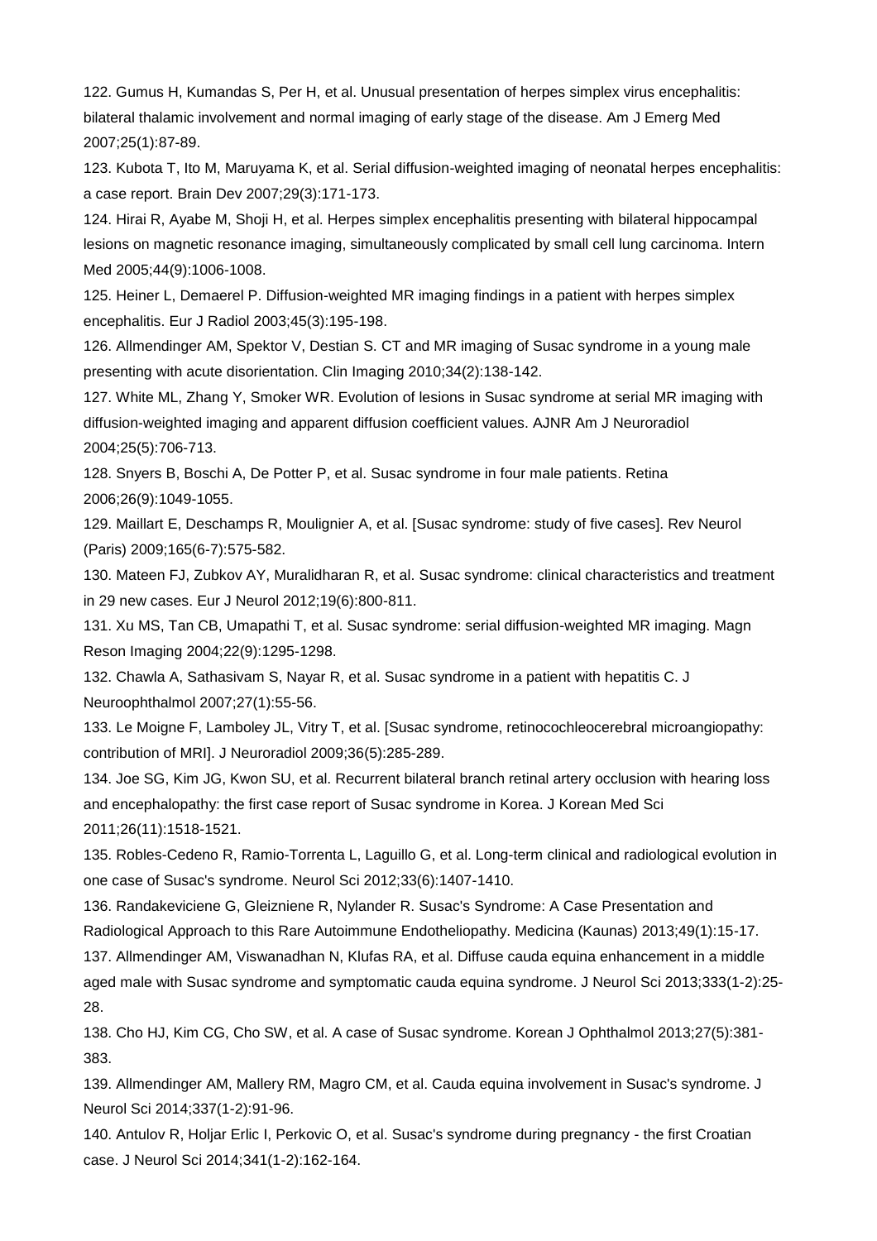122. Gumus H, Kumandas S, Per H, et al. Unusual presentation of herpes simplex virus encephalitis: bilateral thalamic involvement and normal imaging of early stage of the disease. Am J Emerg Med 2007;25(1):87-89.

123. Kubota T, Ito M, Maruyama K, et al. Serial diffusion-weighted imaging of neonatal herpes encephalitis: a case report. Brain Dev 2007;29(3):171-173.

124. Hirai R, Ayabe M, Shoji H, et al. Herpes simplex encephalitis presenting with bilateral hippocampal lesions on magnetic resonance imaging, simultaneously complicated by small cell lung carcinoma. Intern Med 2005;44(9):1006-1008.

125. Heiner L, Demaerel P. Diffusion-weighted MR imaging findings in a patient with herpes simplex encephalitis. Eur J Radiol 2003;45(3):195-198.

126. Allmendinger AM, Spektor V, Destian S. CT and MR imaging of Susac syndrome in a young male presenting with acute disorientation. Clin Imaging 2010;34(2):138-142.

127. White ML, Zhang Y, Smoker WR. Evolution of lesions in Susac syndrome at serial MR imaging with diffusion-weighted imaging and apparent diffusion coefficient values. AJNR Am J Neuroradiol 2004;25(5):706-713.

128. Snyers B, Boschi A, De Potter P, et al. Susac syndrome in four male patients. Retina 2006;26(9):1049-1055.

129. Maillart E, Deschamps R, Moulignier A, et al. [Susac syndrome: study of five cases]. Rev Neurol (Paris) 2009;165(6-7):575-582.

130. Mateen FJ, Zubkov AY, Muralidharan R, et al. Susac syndrome: clinical characteristics and treatment in 29 new cases. Eur J Neurol 2012;19(6):800-811.

131. Xu MS, Tan CB, Umapathi T, et al. Susac syndrome: serial diffusion-weighted MR imaging. Magn Reson Imaging 2004;22(9):1295-1298.

132. Chawla A, Sathasivam S, Nayar R, et al. Susac syndrome in a patient with hepatitis C. J Neuroophthalmol 2007;27(1):55-56.

133. Le Moigne F, Lamboley JL, Vitry T, et al. [Susac syndrome, retinocochleocerebral microangiopathy: contribution of MRI]. J Neuroradiol 2009;36(5):285-289.

134. Joe SG, Kim JG, Kwon SU, et al. Recurrent bilateral branch retinal artery occlusion with hearing loss and encephalopathy: the first case report of Susac syndrome in Korea. J Korean Med Sci 2011;26(11):1518-1521.

135. Robles-Cedeno R, Ramio-Torrenta L, Laguillo G, et al. Long-term clinical and radiological evolution in one case of Susac's syndrome. Neurol Sci 2012;33(6):1407-1410.

136. Randakeviciene G, Gleizniene R, Nylander R. Susac's Syndrome: A Case Presentation and Radiological Approach to this Rare Autoimmune Endotheliopathy. Medicina (Kaunas) 2013;49(1):15-17.

137. Allmendinger AM, Viswanadhan N, Klufas RA, et al. Diffuse cauda equina enhancement in a middle aged male with Susac syndrome and symptomatic cauda equina syndrome. J Neurol Sci 2013;333(1-2):25- 28.

138. Cho HJ, Kim CG, Cho SW, et al. A case of Susac syndrome. Korean J Ophthalmol 2013;27(5):381- 383.

139. Allmendinger AM, Mallery RM, Magro CM, et al. Cauda equina involvement in Susac's syndrome. J Neurol Sci 2014;337(1-2):91-96.

140. Antulov R, Holjar Erlic I, Perkovic O, et al. Susac's syndrome during pregnancy - the first Croatian case. J Neurol Sci 2014;341(1-2):162-164.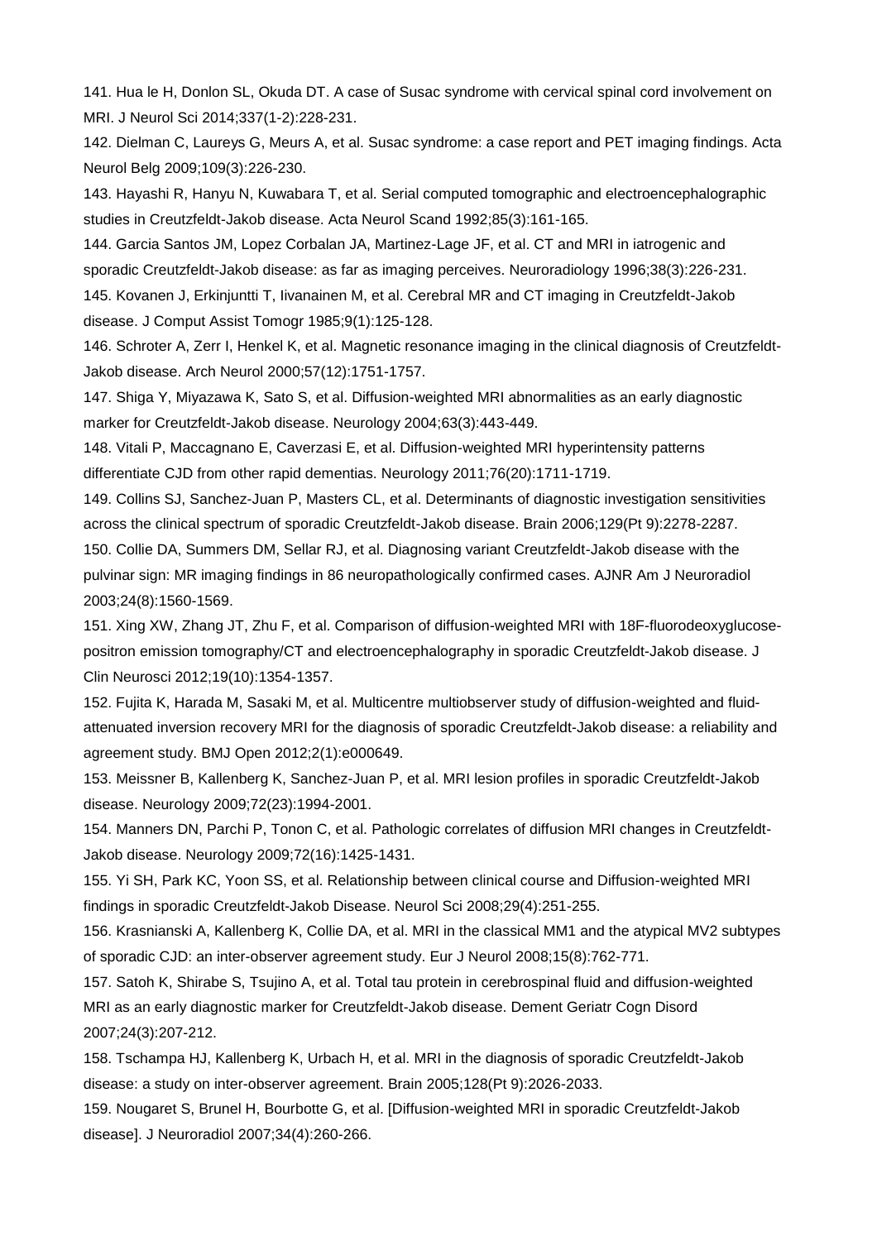141. Hua le H, Donlon SL, Okuda DT. A case of Susac syndrome with cervical spinal cord involvement on MRI. J Neurol Sci 2014;337(1-2):228-231.

142. Dielman C, Laureys G, Meurs A, et al. Susac syndrome: a case report and PET imaging findings. Acta Neurol Belg 2009;109(3):226-230.

143. Hayashi R, Hanyu N, Kuwabara T, et al. Serial computed tomographic and electroencephalographic studies in Creutzfeldt-Jakob disease. Acta Neurol Scand 1992;85(3):161-165.

144. Garcia Santos JM, Lopez Corbalan JA, Martinez-Lage JF, et al. CT and MRI in iatrogenic and sporadic Creutzfeldt-Jakob disease: as far as imaging perceives. Neuroradiology 1996;38(3):226-231. 145. Kovanen J, Erkinjuntti T, Iivanainen M, et al. Cerebral MR and CT imaging in Creutzfeldt-Jakob

disease. J Comput Assist Tomogr 1985;9(1):125-128.

146. Schroter A, Zerr I, Henkel K, et al. Magnetic resonance imaging in the clinical diagnosis of Creutzfeldt-Jakob disease. Arch Neurol 2000;57(12):1751-1757.

147. Shiga Y, Miyazawa K, Sato S, et al. Diffusion-weighted MRI abnormalities as an early diagnostic marker for Creutzfeldt-Jakob disease. Neurology 2004;63(3):443-449.

148. Vitali P, Maccagnano E, Caverzasi E, et al. Diffusion-weighted MRI hyperintensity patterns differentiate CJD from other rapid dementias. Neurology 2011;76(20):1711-1719.

149. Collins SJ, Sanchez-Juan P, Masters CL, et al. Determinants of diagnostic investigation sensitivities across the clinical spectrum of sporadic Creutzfeldt-Jakob disease. Brain 2006;129(Pt 9):2278-2287. 150. Collie DA, Summers DM, Sellar RJ, et al. Diagnosing variant Creutzfeldt-Jakob disease with the pulvinar sign: MR imaging findings in 86 neuropathologically confirmed cases. AJNR Am J Neuroradiol 2003;24(8):1560-1569.

151. Xing XW, Zhang JT, Zhu F, et al. Comparison of diffusion-weighted MRI with 18F-fluorodeoxyglucosepositron emission tomography/CT and electroencephalography in sporadic Creutzfeldt-Jakob disease. J Clin Neurosci 2012;19(10):1354-1357.

152. Fujita K, Harada M, Sasaki M, et al. Multicentre multiobserver study of diffusion-weighted and fluidattenuated inversion recovery MRI for the diagnosis of sporadic Creutzfeldt-Jakob disease: a reliability and agreement study. BMJ Open 2012;2(1):e000649.

153. Meissner B, Kallenberg K, Sanchez-Juan P, et al. MRI lesion profiles in sporadic Creutzfeldt-Jakob disease. Neurology 2009;72(23):1994-2001.

154. Manners DN, Parchi P, Tonon C, et al. Pathologic correlates of diffusion MRI changes in Creutzfeldt-Jakob disease. Neurology 2009;72(16):1425-1431.

155. Yi SH, Park KC, Yoon SS, et al. Relationship between clinical course and Diffusion-weighted MRI findings in sporadic Creutzfeldt-Jakob Disease. Neurol Sci 2008;29(4):251-255.

156. Krasnianski A, Kallenberg K, Collie DA, et al. MRI in the classical MM1 and the atypical MV2 subtypes of sporadic CJD: an inter-observer agreement study. Eur J Neurol 2008;15(8):762-771.

157. Satoh K, Shirabe S, Tsujino A, et al. Total tau protein in cerebrospinal fluid and diffusion-weighted MRI as an early diagnostic marker for Creutzfeldt-Jakob disease. Dement Geriatr Cogn Disord 2007;24(3):207-212.

158. Tschampa HJ, Kallenberg K, Urbach H, et al. MRI in the diagnosis of sporadic Creutzfeldt-Jakob disease: a study on inter-observer agreement. Brain 2005;128(Pt 9):2026-2033.

159. Nougaret S, Brunel H, Bourbotte G, et al. [Diffusion-weighted MRI in sporadic Creutzfeldt-Jakob disease]. J Neuroradiol 2007;34(4):260-266.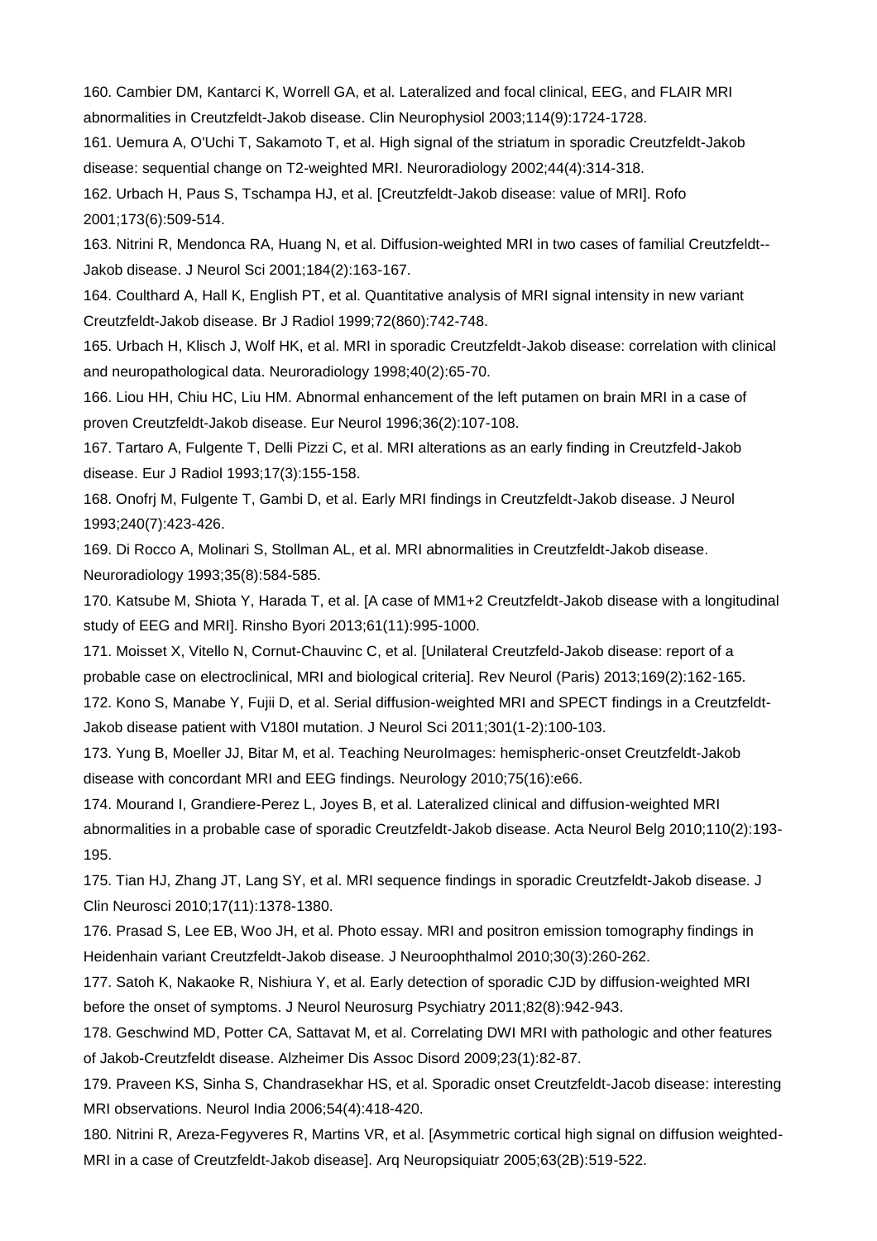160. Cambier DM, Kantarci K, Worrell GA, et al. Lateralized and focal clinical, EEG, and FLAIR MRI abnormalities in Creutzfeldt-Jakob disease. Clin Neurophysiol 2003;114(9):1724-1728.

161. Uemura A, O'Uchi T, Sakamoto T, et al. High signal of the striatum in sporadic Creutzfeldt-Jakob disease: sequential change on T2-weighted MRI. Neuroradiology 2002;44(4):314-318.

162. Urbach H, Paus S, Tschampa HJ, et al. [Creutzfeldt-Jakob disease: value of MRI]. Rofo 2001;173(6):509-514.

163. Nitrini R, Mendonca RA, Huang N, et al. Diffusion-weighted MRI in two cases of familial Creutzfeldt-- Jakob disease. J Neurol Sci 2001;184(2):163-167.

164. Coulthard A, Hall K, English PT, et al. Quantitative analysis of MRI signal intensity in new variant Creutzfeldt-Jakob disease. Br J Radiol 1999;72(860):742-748.

165. Urbach H, Klisch J, Wolf HK, et al. MRI in sporadic Creutzfeldt-Jakob disease: correlation with clinical and neuropathological data. Neuroradiology 1998;40(2):65-70.

166. Liou HH, Chiu HC, Liu HM. Abnormal enhancement of the left putamen on brain MRI in a case of proven Creutzfeldt-Jakob disease. Eur Neurol 1996;36(2):107-108.

167. Tartaro A, Fulgente T, Delli Pizzi C, et al. MRI alterations as an early finding in Creutzfeld-Jakob disease. Eur J Radiol 1993;17(3):155-158.

168. Onofrj M, Fulgente T, Gambi D, et al. Early MRI findings in Creutzfeldt-Jakob disease. J Neurol 1993;240(7):423-426.

169. Di Rocco A, Molinari S, Stollman AL, et al. MRI abnormalities in Creutzfeldt-Jakob disease. Neuroradiology 1993;35(8):584-585.

170. Katsube M, Shiota Y, Harada T, et al. [A case of MM1+2 Creutzfeldt-Jakob disease with a longitudinal study of EEG and MRI]. Rinsho Byori 2013;61(11):995-1000.

171. Moisset X, Vitello N, Cornut-Chauvinc C, et al. [Unilateral Creutzfeld-Jakob disease: report of a probable case on electroclinical, MRI and biological criteria]. Rev Neurol (Paris) 2013;169(2):162-165.

172. Kono S, Manabe Y, Fujii D, et al. Serial diffusion-weighted MRI and SPECT findings in a Creutzfeldt-Jakob disease patient with V180I mutation. J Neurol Sci 2011;301(1-2):100-103.

173. Yung B, Moeller JJ, Bitar M, et al. Teaching NeuroImages: hemispheric-onset Creutzfeldt-Jakob disease with concordant MRI and EEG findings. Neurology 2010;75(16):e66.

174. Mourand I, Grandiere-Perez L, Joyes B, et al. Lateralized clinical and diffusion-weighted MRI abnormalities in a probable case of sporadic Creutzfeldt-Jakob disease. Acta Neurol Belg 2010;110(2):193- 195.

175. Tian HJ, Zhang JT, Lang SY, et al. MRI sequence findings in sporadic Creutzfeldt-Jakob disease. J Clin Neurosci 2010;17(11):1378-1380.

176. Prasad S, Lee EB, Woo JH, et al. Photo essay. MRI and positron emission tomography findings in Heidenhain variant Creutzfeldt-Jakob disease. J Neuroophthalmol 2010;30(3):260-262.

177. Satoh K, Nakaoke R, Nishiura Y, et al. Early detection of sporadic CJD by diffusion-weighted MRI before the onset of symptoms. J Neurol Neurosurg Psychiatry 2011;82(8):942-943.

178. Geschwind MD, Potter CA, Sattavat M, et al. Correlating DWI MRI with pathologic and other features of Jakob-Creutzfeldt disease. Alzheimer Dis Assoc Disord 2009;23(1):82-87.

179. Praveen KS, Sinha S, Chandrasekhar HS, et al. Sporadic onset Creutzfeldt-Jacob disease: interesting MRI observations. Neurol India 2006;54(4):418-420.

180. Nitrini R, Areza-Fegyveres R, Martins VR, et al. [Asymmetric cortical high signal on diffusion weighted-MRI in a case of Creutzfeldt-Jakob disease]. Arq Neuropsiquiatr 2005;63(2B):519-522.